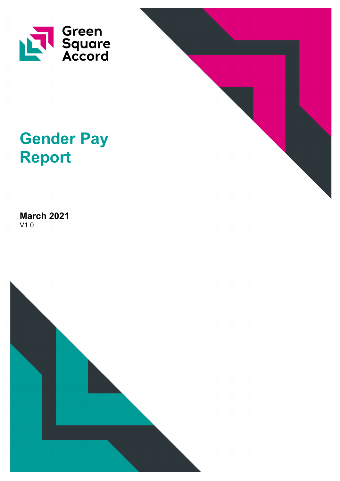



# **Gender Pay Report**

**March 2021** V1.0

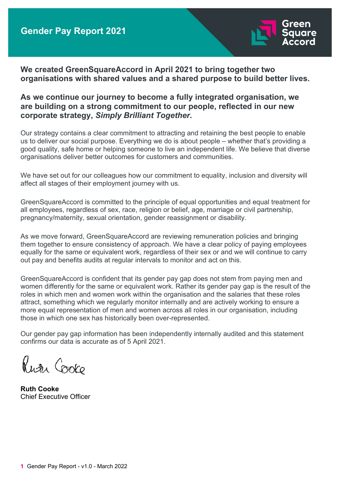

**We created GreenSquareAccord in April 2021 to bring together two organisations with shared values and a shared purpose to build better lives.** 

## **As we continue our journey to become a fully integrated organisation, we are building on a strong commitment to our people, reflected in our new corporate strategy,** *Simply Brilliant Together***.**

Our strategy contains a clear commitment to attracting and retaining the best people to enable us to deliver our social purpose. Everything we do is about people – whether that's providing a good quality, safe home or helping someone to live an independent life. We believe that diverse organisations deliver better outcomes for customers and communities.

We have set out for our colleagues how our commitment to equality, inclusion and diversity will affect all stages of their employment journey with us.

GreenSquareAccord is committed to the principle of equal opportunities and equal treatment for all employees, regardless of sex, race, religion or belief, age, marriage or civil partnership, pregnancy/maternity, sexual orientation, gender reassignment or disability.

As we move forward, GreenSquareAccord are reviewing remuneration policies and bringing them together to ensure consistency of approach. We have a clear policy of paying employees equally for the same or equivalent work, regardless of their sex or and we will continue to carry out pay and benefits audits at regular intervals to monitor and act on this.

GreenSquareAccord is confident that its gender pay gap does not stem from paying men and women differently for the same or equivalent work. Rather its gender pay gap is the result of the roles in which men and women work within the organisation and the salaries that these roles attract, something which we regularly monitor internally and are actively working to ensure a more equal representation of men and women across all roles in our organisation, including those in which one sex has historically been over-represented.

Our gender pay gap information has been independently internally audited and this statement confirms our data is accurate as of 5 April 2021.

Rutu Cooko

**Ruth Cooke** Chief Executive Officer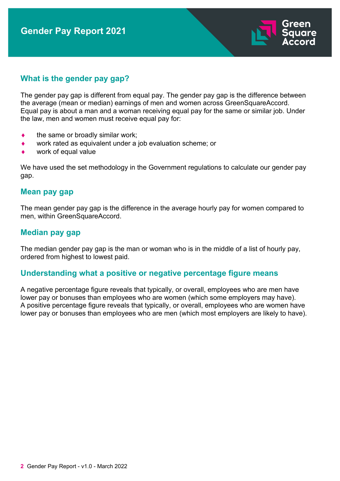

# **What is the gender pay gap?**

The gender pay gap is different from equal pay. The gender pay gap is the difference between the average (mean or median) earnings of men and women across GreenSquareAccord. Equal pay is about a man and a woman receiving equal pay for the same or similar job. Under the law, men and women must receive equal pay for:

- the same or broadly similar work;
- ♦ work rated as equivalent under a job evaluation scheme; or
- work of equal value

We have used the set methodology in the Government regulations to calculate our gender pay gap.

#### **Mean pay gap**

The mean gender pay gap is the difference in the average hourly pay for women compared to men, within GreenSquareAccord.

## **Median pay gap**

The median gender pay gap is the man or woman who is in the middle of a list of hourly pay, ordered from highest to lowest paid.

## **Understanding what a positive or negative percentage figure means**

A negative percentage figure reveals that typically, or overall, employees who are men have lower pay or bonuses than employees who are women (which some employers may have). A positive percentage figure reveals that typically, or overall, employees who are women have lower pay or bonuses than employees who are men (which most employers are likely to have).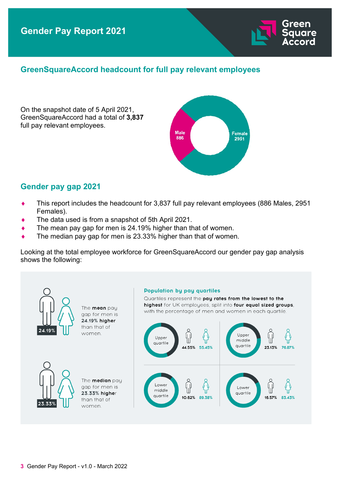# **GreenSquareAccord headcount for full pay relevant employees**

On the snapshot date of 5 April 2021, GreenSquareAccord had a total of **3,837**  full pay relevant employees.



# **Gender pay gap 2021**

- ♦ This report includes the headcount for 3,837 full pay relevant employees (886 Males, 2951 Females).
- The data used is from a snapshot of 5th April 2021.
- $\bullet$  The mean pay gap for men is 24.19% higher than that of women.
- $\bullet$  The median pay gap for men is 23.33% higher than that of women.

Looking at the total employee workforce for GreenSquareAccord our gender pay gap analysis shows the following:

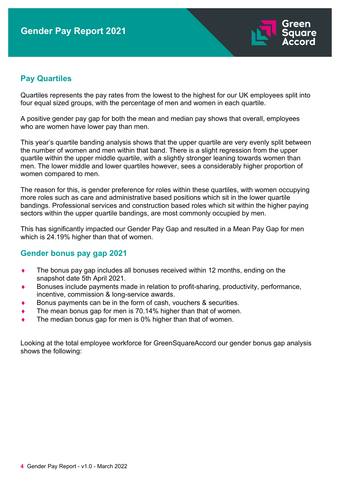

# **Pay Quartiles**

Quartiles represents the pay rates from the lowest to the highest for our UK employees split into four equal sized groups, with the percentage of men and women in each quartile.

A positive gender pay gap for both the mean and median pay shows that overall, employees who are women have lower pay than men.

This year's quartile banding analysis shows that the upper quartile are very evenly split between the number of women and men within that band. There is a slight regression from the upper quartile within the upper middle quartile, with a slightly stronger leaning towards women than men. The lower middle and lower quartiles however, sees a considerably higher proportion of women compared to men.

The reason for this, is gender preference for roles within these quartiles, with women occupying more roles such as care and administrative based positions which sit in the lower quartile bandings. Professional services and construction based roles which sit within the higher paying sectors within the upper quartile bandings, are most commonly occupied by men.

This has significantly impacted our Gender Pay Gap and resulted in a Mean Pay Gap for men which is 24.19% higher than that of women.

# **Gender bonus pay gap 2021**

- The bonus pay gap includes all bonuses received within 12 months, ending on the snapshot date 5th April 2021.
- Bonuses include payments made in relation to profit-sharing, productivity, performance, incentive, commission & long-service awards.
- Bonus payments can be in the form of cash, vouchers & securities.
- The mean bonus gap for men is 70.14% higher than that of women.
- The median bonus gap for men is 0% higher than that of women.

Looking at the total employee workforce for GreenSquareAccord our gender bonus gap analysis shows the following: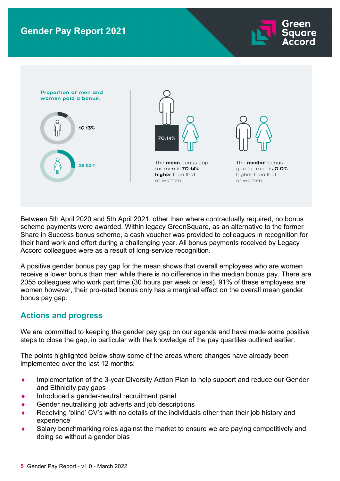



Between 5th April 2020 and 5th April 2021, other than where contractually required, no bonus scheme payments were awarded. Within legacy GreenSquare, as an alternative to the former Share in Success bonus scheme, a cash voucher was provided to colleagues in recognition for their hard work and effort during a challenging year. All bonus payments received by Legacy Accord colleagues were as a result of long-service recognition.

A positive gender bonus pay gap for the mean shows that overall employees who are women receive a lower bonus than men while there is no difference in the median bonus pay. There are 2055 colleagues who work part time (30 hours per week or less). 91% of these employees are women however, their pro-rated bonus only has a marginal effect on the overall mean gender bonus pay gap.

# **Actions and progress**

We are committed to keeping the gender pay gap on our agenda and have made some positive steps to close the gap, in particular with the knowledge of the pay quartiles outlined earlier.

The points highlighted below show some of the areas where changes have already been implemented over the last 12 months:

- Implementation of the 3-year Diversity Action Plan to help support and reduce our Gender and Ethnicity pay gaps
- Introduced a gender-neutral recruitment panel
- Gender neutralising job adverts and job descriptions
- Receiving 'blind' CV's with no details of the individuals other than their job history and experience
- Salary benchmarking roles against the market to ensure we are paying competitively and doing so without a gender bias